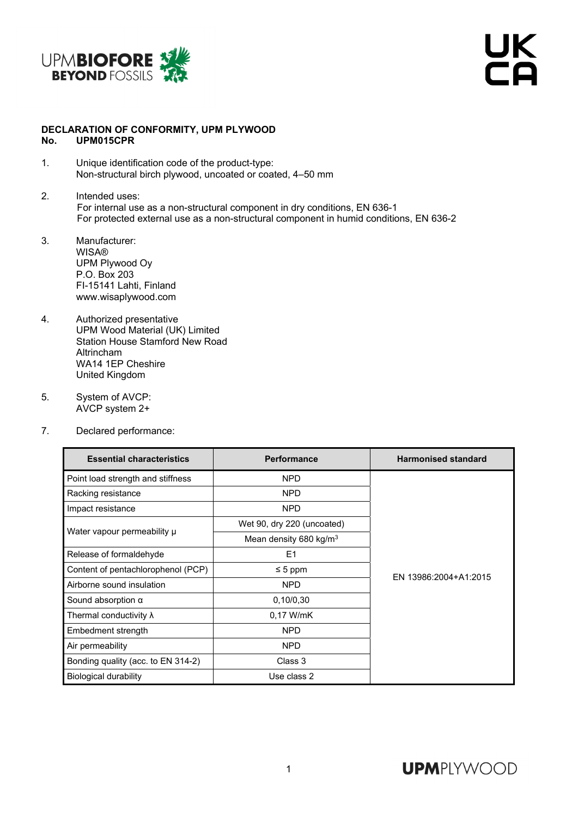

UK<br>CA

## **DECLARATION OF CONFORMITY, UPM PLYWOOD No. UPM015CPR**

- 1. Unique identification code of the product-type: Non-structural birch plywood, uncoated or coated, 4–50 mm
- 2. Intended uses: For internal use as a non-structural component in dry conditions, EN 636-1 For protected external use as a non-structural component in humid conditions, EN 636-2
- 3. Manufacturer: **WISA®** UPM Plywood Oy P.O. Box 203 FI-15141 Lahti, Finland www.wisaplywood.com
- 4. Authorized presentative UPM Wood Material (UK) Limited Station House Stamford New Road Altrincham WA14 1EP Cheshire United Kingdom
- 5. System of AVCP: AVCP system 2+
- 7. Declared performance:

| <b>Essential characteristics</b>   | <b>Performance</b>                 | <b>Harmonised standard</b> |  |
|------------------------------------|------------------------------------|----------------------------|--|
| Point load strength and stiffness  | <b>NPD</b>                         |                            |  |
| Racking resistance                 | <b>NPD</b>                         |                            |  |
| Impact resistance                  | <b>NPD</b>                         |                            |  |
| Water vapour permeability µ        | Wet 90, dry 220 (uncoated)         |                            |  |
|                                    | Mean density 680 kg/m <sup>3</sup> |                            |  |
| Release of formaldehyde            | E <sub>1</sub>                     |                            |  |
| Content of pentachlorophenol (PCP) | $\leq 5$ ppm                       | EN 13986:2004+A1:2015      |  |
| Airborne sound insulation          | <b>NPD</b>                         |                            |  |
| Sound absorption $\alpha$          | 0,10/0,30                          |                            |  |
| Thermal conductivity $\lambda$     | 0.17 W/mK                          |                            |  |
| Embedment strength                 | <b>NPD</b>                         |                            |  |
| Air permeability                   | <b>NPD</b>                         |                            |  |
| Bonding quality (acc. to EN 314-2) | Class 3                            |                            |  |
| Biological durability              | Use class 2                        |                            |  |